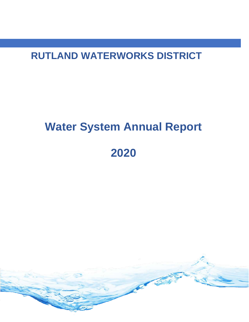**RUTLAND WATERWORKS DISTRICT**

# **Water System Annual Report 2020**

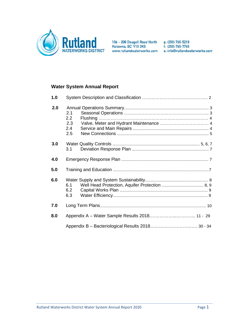

106 - 200 Dougall Road North p: (250) 765-5218<br>Kelowna, BC V1X 3K5 f: (250) 765-7765

www.rutlandwaterworks.com e: info@rutlandwaterworks.com

# **Water System Annual Report**

| 1.0 |                                 |  |  |  |  |  |  |  |
|-----|---------------------------------|--|--|--|--|--|--|--|
| 2.0 | 2.1<br>2.2<br>2.3<br>2.4<br>2.5 |  |  |  |  |  |  |  |
| 3.0 | 3.1                             |  |  |  |  |  |  |  |
| 4.0 |                                 |  |  |  |  |  |  |  |
| 5.0 |                                 |  |  |  |  |  |  |  |
| 6.0 | 6.1<br>6.2<br>6.3               |  |  |  |  |  |  |  |
| 7.0 |                                 |  |  |  |  |  |  |  |
| 8.0 |                                 |  |  |  |  |  |  |  |
|     |                                 |  |  |  |  |  |  |  |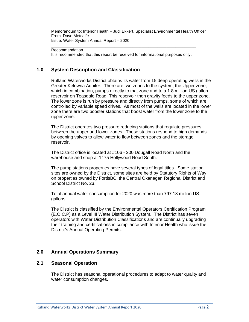Memorandum to: Interior Health – Judi Ekkert, Specialist Environmental Health Officer From: Dave Metcalfe Issue: Water System Annual Report – 2020

Recommendation

It is recommended that this report be received for informational purposes only.

\_\_\_\_\_\_\_\_\_\_\_\_\_\_\_\_\_\_\_\_\_\_\_\_\_\_\_\_\_\_\_\_\_\_\_\_\_\_\_\_\_\_\_\_\_\_\_\_\_\_\_\_\_\_\_\_\_\_\_\_\_\_\_\_

## **1.0 System Description and Classification**

Rutland Waterworks District obtains its water from 15 deep operating wells in the Greater Kelowna Aquifer. There are two zones to the system, the Upper zone, which in combination, pumps directly to that zone and to a 1.8 million US gallon reservoir on Teasdale Road. This reservoir then gravity feeds to the upper zone. The lower zone is run by pressure and directly from pumps, some of which are controlled by variable speed drives. As most of the wells are located in the lower zone there are two booster stations that boost water from the lower zone to the upper zone.

The District operates two pressure reducing stations that regulate pressures between the upper and lower zones. These stations respond to high demands by opening valves to allow water to flow between zones and the storage reservoir.

The District office is located at #106 - 200 Dougall Road North and the warehouse and shop at 1175 Hollywood Road South.

The pump stations properties have several types of legal titles. Some station sites are owned by the District, some sites are held by Statutory Rights of Way on properties owned by FortisBC, the Central Okanagan Regional District and School District No. 23.

Total annual water consumption for 2020 was more than 797.13 million US gallons.

The District is classified by the Environmental Operators Certification Program (E.O.C.P) as a Level III Water Distribution System. The District has seven operators with Water Distribution Classifications and are continually upgrading their training and certifications in compliance with Interior Health who issue the District's Annual Operating Permits.

### **2.0 Annual Operations Summary**

#### **2.1 Seasonal Operation**

The District has seasonal operational procedures to adapt to water quality and water consumption changes.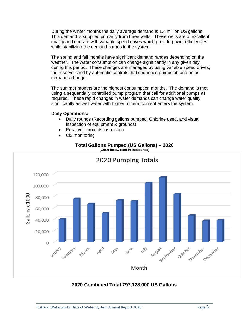During the winter months the daily average demand is 1.4 million US gallons. This demand is supplied primarily from three wells. These wells are of excellent quality and operate with variable speed drives which provide power efficiencies while stabilizing the demand surges in the system.

The spring and fall months have significant demand ranges depending on the weather. The water consumption can change significantly in any given day during this period. These changes are managed by using variable speed drives, the reservoir and by automatic controls that sequence pumps off and on as demands change.

The summer months are the highest consumption months. The demand is met using a sequentially controlled pump program that call for additional pumps as required. These rapid changes in water demands can change water quality significantly as well water with higher mineral content enters the system.

#### **Daily Operations:**

- Daily rounds (Recording gallons pumped, Chlorine used, and visual inspection of equipment & grounds)
- Reservoir grounds inspection
- Cl2 monitoring

# **Total Gallons Pumped (US Gallons) – 2020**



# **2020 Combined Total 797,128,000 US Gallons**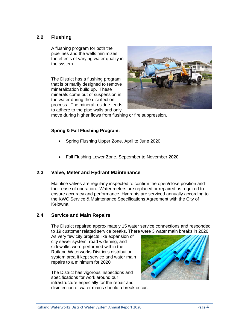## **2.2 Flushing**

A flushing program for both the pipelines and the wells minimizes the effects of varying water quality in the system.

The District has a flushing program that is primarily designed to remove mineralization build up. These minerals come out of suspension in the water during the disinfection process. The mineral residue tends to adhere to the pipe walls and only



move during higher flows from flushing or fire suppression.

## **Spring & Fall Flushing Program:**

- Spring Flushing Upper Zone. April to June 2020
- Fall Flushing Lower Zone. September to November 2020

## **2.3 Valve, Meter and Hydrant Maintenance**

Mainline valves are regularly inspected to confirm the open/close position and their ease of operation. Water meters are replaced or repaired as required to ensure accuracy and performance. Hydrants are serviced annually according to the KWC Service & Maintenance Specifications Agreement with the City of Kelowna.

## **2.4 Service and Main Repairs**

The District repaired approximately 15 water service connections and responded to 19 customer related service breaks. There were 3 water main breaks in 2020.

As very few city projects like expansion of city sewer system, road widening, and sidewalks were performed within the Rutland Waterworks District's distribution system area it kept service and water main repairs to a minimum for 2020

The District has vigorous inspections and specifications for work around our infrastructure especially for the repair and disinfection of water mains should a break occur.

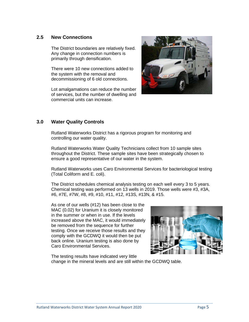## **2.5 New Connections**

The District boundaries are relatively fixed. Any change in connection numbers is primarily through densification.

There were 10 new connections added to the system with the removal and decommissioning of 6 old connections.

Lot amalgamations can reduce the number of services, but the number of dwelling and commercial units can increase.



## **3.0 Water Quality Controls**

Rutland Waterworks District has a rigorous program for monitoring and controlling our water quality.

Rutland Waterworks Water Quality Technicians collect from 10 sample sites throughout the District. These sample sites have been strategically chosen to ensure a good representative of our water in the system.

Rutland Waterworks uses Caro Environmental Services for bacteriological testing (Total Coliform and E. coli).

The District schedules chemical analysis testing on each well every 3 to 5 years. Chemical testing was performed on 13 wells in 2019. Those wells were #3, #3A, #6, #7E, #7W, #8, #9, #10, #11, #12, #13S, #13N, & #15.

As one of our wells (#12) has been close to the MAC (0.02) for Uranium it is closely monitored in the summer or when in use. If the levels increased above the MAC, it would immediately be removed from the sequence for further testing. Once we receive those results and they comply with the GCDWQ it would then be put back online. Uranium testing is also done by Caro Environmental Services.



The testing results have indicated very little change in the mineral levels and are still within the GCDWQ table.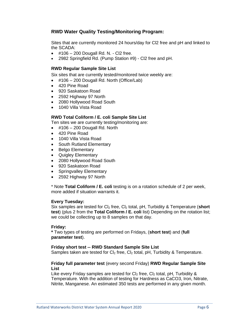## **RWD Water Quality Testing/Monitoring Program:**

Sites that are currently monitored 24 hours/day for Cl2 free and pH and linked to the SCADA:

- $\bullet$  #106 200 Dougall Rd. N. Cl2 free.
- 2982 Springfield Rd. (Pump Station #9) Cl2 free and pH.

#### **RWD Regular Sample Site List**

Six sites that are currently tested/monitored twice weekly are:

- #106 200 Dougall Rd. North (Office/Lab)
- 420 Pine Road
- 920 Saskatoon Road
- 2592 Highway 97 North
- 2080 Hollywood Road South
- 1040 Villa Vista Road

#### **RWD Total Coliform / E. coli Sample Site List**

Ten sites we are currently testing/monitoring are:

- $\bullet$  #106 200 Dougall Rd. North
- 420 Pine Road
- 1040 Villa Vista Road
- South Rutland Elementary
- Belgo Elementary
- Quigley Elementary
- 2080 Hollywood Road South
- 920 Saskatoon Road
- Springvalley Elementary
- 2592 Highway 97 North

\* Note **Total Coliform / E. coli** testing is on a rotation schedule of 2 per week, more added if situation warrants it.

#### **Every Tuesday:**

Six samples are tested for Cl<sub>2</sub> free, Cl<sub>2</sub> total, pH, Turbidity & Temperature (**short**) **test**) (plus 2 from the **Total Coliform / E. coli** list) Depending on the rotation list; we could be collecting up to 8 samples on that day.

#### **Friday:**

**\*** Two types of testing are performed on Fridays, (**short test**) and (**full parameter test**).

#### **Friday short test -- RWD Standard Sample Site List**

Samples taken are tested for  $Cl_2$  free,  $Cl_2$  total, pH, Turbidity & Temperature.

#### **Friday full parameter test** (every second Friday) **RWD Regular Sample Site List**

Like every Friday samples are tested for  $Cl_2$  free,  $Cl_2$  total, pH, Turbidity & Temperature. With the addition of testing for Hardness as CaCO3, Iron, Nitrate, Nitrite, Manganese. An estimated 350 tests are performed in any given month.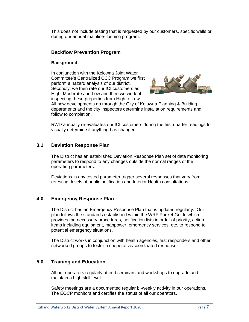This does not include testing that is requested by our customers, specific wells or during our annual mainline-flushing program.

## **Backflow Prevention Program**

#### **Background:**

In conjunction with the Kelowna Joint Water Committee's Centralized CCC Program we first perform a hazard analysis of our district. Secondly, we then rate our ICI customers as High, Moderate and Low and then we work at inspecting these properties from High to Low.



All new developments go through the City of Kelowna Planning & Building departments and the city inspectors determine installation requirements and follow to completion.

RWD annually re-evaluates our ICI customers during the first quarter readings to visually determine if anything has changed.

## **3.1 Deviation Response Plan**

The District has an established Deviation Response Plan set of data monitoring parameters to respond to any changes outside the normal ranges of the operating parameters.

Deviations in any tested parameter trigger several responses that vary from retesting, levels of public notification and Interior Health consultations.

## **4.0 Emergency Response Plan**

The District has an Emergency Response Plan that is updated regularly. Our plan follows the standards established within the WRF Pocket Guide which provides the necessary procedures, notification lists in order of priority, action items including equipment, manpower, emergency services, etc. to respond to potential emergency situations.

The District works in conjunction with health agencies, first responders and other networked groups to foster a cooperative/coordinated response.

## **5.0 Training and Education**

All our operators regularly attend seminars and workshops to upgrade and maintain a high skill level.

Safety meetings are a documented regular bi-weekly activity in our operations. The EOCP monitors and certifies the status of all our operators.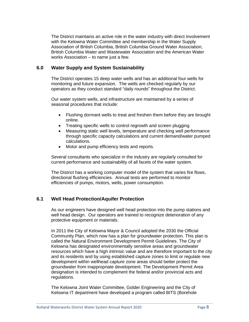The District maintains an active role in the water industry with direct involvement with the Kelowna Water Committee and membership in the Water Supply Association of British Columbia, British Columbia Ground Water Association, British Columbia Water and Wastewater Association and the American Water works Association – to name just a few.

## **6.0 Water Supply and System Sustainability**

The District operates 15 deep water wells and has an additional four wells for monitoring and future expansion. The wells are checked regularly by our operators as they conduct standard "daily rounds" throughout the District.

Our water system wells, and infrastructure are maintained by a series of seasonal procedures that include:

- Flushing dormant wells to treat and freshen them before they are brought online.
- Treating specific wells to control regrowth and screen plugging
- Measuring static well levels, temperature and checking well performance through specific capacity calculations and current demand/water pumped calculations.
- Motor and pump efficiency tests and reports.

Several consultants who specialize in the industry are regularly consulted for current performance and sustainability of all facets of the water system.

The District has a working computer model of the system that varies fire flows, directional flushing efficiencies. Annual tests are performed to monitor efficiencies of pumps, motors, wells, power consumption.

# **6.1 Well Head Protection/Aquifer Protection**

As our engineers have designed well head protection into the pump stations and well head design. Our operators are trained to recognize deterioration of any protective equipment or materials.

In 2011 the City of Kelowna Mayor & Council adopted the 2030 the Official Community Plan, which now has a plan for groundwater protection. This plan is called the Natural Environment Development Permit Guidelines. The City of Kelowna has designated environmentally sensitive areas and groundwater resources which have a high intrinsic value and are therefore important to the city and its residents and by using established capture zones to limit or regulate new development within wellhead capture zone areas should better protect the groundwater from inappropriate development. The Development Permit Area designation is intended to complement the federal and/or provincial acts and regulations.

The Kelowna Joint Water Committee, Golder Engineering and the City of Kelowna IT department have developed a program called BITS (Borehole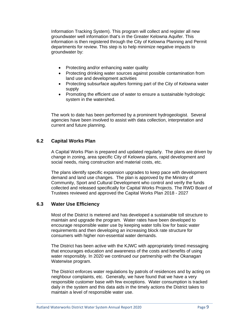Information Tracking System). This program will collect and register all new groundwater well information that's in the Greater Kelowna Aquifer. This information is then registered through the City of Kelowna Planning and Permit departments for review. This step is to help minimize negative impacts to groundwater by:

- Protecting and/or enhancing water quality
- Protecting drinking water sources against possible contamination from land use and development activities
- Protecting subsurface aquifers forming part of the City of Kelowna water supply
- Promoting the efficient use of water to ensure a sustainable hydrologic system in the watershed.

The work to date has been performed by a prominent hydrogeologist. Several agencies have been involved to assist with data collection, interpretation and current and future planning.

## **6.2 Capital Works Plan**

A Capital Works Plan is prepared and updated regularly. The plans are driven by change in zoning, area specific City of Kelowna plans, rapid development and social needs, rising construction and material costs, etc.

The plans identify specific expansion upgrades to keep pace with development demand and land use changes. The plan is approved by the Ministry of Community, Sport and Cultural Development who control and verify the funds collected and released specifically for Capital Works Projects. The RWD Board of Trustees reviewed and approved the Capital Works Plan 2018 - 2027

## **6.3 Water Use Efficiency**

Most of the District is metered and has developed a sustainable toll structure to maintain and upgrade the program. Water rates have been developed to encourage responsible water use by keeping water tolls low for basic water requirements and then developing an increasing block rate structure for consumers with higher non-essential water demands.

The District has been active with the KJWC with appropriately timed messaging that encourages education and awareness of the costs and benefits of using water responsibly. In 2020 we continued our partnership with the Okanagan Waterwise program.

The District enforces water regulations by patrols of residences and by acting on neighbour complaints, etc. Generally, we have found that we have a very responsible customer base with few exceptions. Water consumption is tracked daily in the system and this data aids in the timely actions the District takes to maintain a level of responsible water use.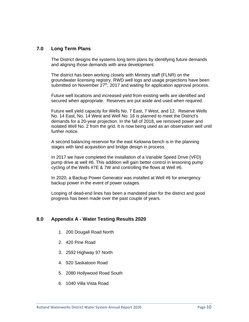## **7.0 Long Term Plans**

The District designs the systems long term plans by identifying future demands and aligning those demands with area development.

The district has been working closely with Ministry staff (FLNR) on the groundwater licensing registry. RWD well logs and usage projections have been submitted on November 27<sup>th</sup>, 2017 and waiting for application approval process.

Future well locations and increased yield from existing wells are identified and secured when appropriate. Reserves are put aside and used when required.

Future well yield capacity for Wells No. 7 East, 7 West, and 12. Reserve Wells No. 14 East, No. 14 West and Well No. 16 is planned to meet the District's demands for a 20-year projection. In the fall of 2018, we removed power and isolated Well No. 2 from the grid. It is now being used as an observation well until further notice.

A second balancing reservoir for the east Kelowna bench is in the planning stages with land acquisition and bridge design in process.

In 2017 we have completed the installation of a Variable Speed Drive (VFD) pump drive at well #6. This addition will gain better control in lessoning pump cycling of the Wells #7E & 7W and controlling the flows at Well #6.

In 2020, a Backup Power Generator was installed at Well #6 for emergency backup power in the event of power outages.

Looping of dead-end lines has been a mandated plan for the district and good progress has been made over the past couple of years.

## **8.0 Appendix A - Water Testing Results 2020**

- 1. 200 Dougall Road North
- 2. 420 Pine Road
- 3. 2592 Highway 97 North
- 4. 920 Saskatoon Road
- 5. 2080 Hollywood Road South
- 6. 1040 Villa Vista Road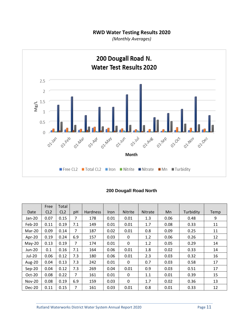# **RWD Water Testing Results 2020**

*(Monthly Averages)*



|               | Free | Total |     |                 |             |                |                |      |           |      |
|---------------|------|-------|-----|-----------------|-------------|----------------|----------------|------|-----------|------|
| Date          | CL2  | CL2   | pH  | <b>Hardness</b> | <b>Iron</b> | <b>Nitrite</b> | <b>Nitrate</b> | Mn   | Turbidity | Temp |
| Jan-20        | 0.07 | 0.15  | 7   | 178             | 0.01        | 0.01           | 1.3            | 0.06 | 0.48      | 9    |
| Feb-20        | 0.11 | 0.19  | 7.1 | 149             | 0.01        | 0.01           | 1.7            | 0.08 | 0.33      | 11   |
| Mar-20        | 0.09 | 0.14  | 7   | 187             | 0.02        | 0.01           | 0.8            | 0.09 | 0.25      | 11   |
| Apr-20        | 0.19 | 0.24  | 6.9 | 157             | 0.03        | 0              | 1.2            | 0.06 | 0.26      | 12   |
| $May-20$      | 0.13 | 0.19  | 7   | 174             | 0.01        | $\mathbf{0}$   | 1.2            | 0.05 | 0.29      | 14   |
| <b>Jun-20</b> | 0.1  | 0.16  | 7.1 | 164             | 0.06        | 0.01           | 1.8            | 0.02 | 0.33      | 14   |
| Jul-20        | 0.06 | 0.12  | 7.3 | 180             | 0.06        | 0.01           | 2.3            | 0.03 | 0.32      | 16   |
| Aug-20        | 0.04 | 0.13  | 7.3 | 242             | 0.01        | $\mathbf{0}$   | 0.7            | 0.03 | 0.58      | 17   |
| Sep-20        | 0.04 | 0.12  | 7.3 | 269             | 0.04        | 0.01           | 0.9            | 0.03 | 0.51      | 17   |
| Oct-20        | 0.08 | 0.22  | 7   | 161             | 0.01        | 0              | 1.1            | 0.01 | 0.39      | 15   |
| <b>Nov-20</b> | 0.08 | 0.19  | 6.9 | 159             | 0.03        | $\mathbf{0}$   | 1.7            | 0.02 | 0.36      | 13   |
| Dec-20        | 0.11 | 0.15  | 7   | 161             | 0.03        | 0.01           | 0.8            | 0.01 | 0.33      | 12   |

## **200 Dougall Road North**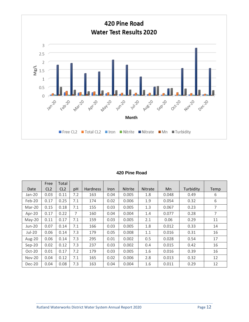

#### **420 Pine Road**

|               | Free            | Total           |     |                 |      |                |                |       |           |                |
|---------------|-----------------|-----------------|-----|-----------------|------|----------------|----------------|-------|-----------|----------------|
| Date          | CL <sub>2</sub> | CL <sub>2</sub> | pH  | <b>Hardness</b> | Iron | <b>Nitrite</b> | <b>Nitrate</b> | Mn    | Turbidity | Temp           |
| Jan-20        | 0.03            | 0.11            | 7.2 | 163             | 0.04 | 0.005          | 1.8            | 0.048 | 0.49      | 6              |
| Feb-20        | 0.17            | 0.25            | 7.1 | 174             | 0.02 | 0.006          | 1.9            | 0.054 | 0.32      | 6              |
| Mar-20        | 0.15            | 0.18            | 7.1 | 155             | 0.03 | 0.005          | 1.3            | 0.067 | 0.23      | $\overline{7}$ |
| Apr-20        | 0.17            | 0.22            | 7   | 160             | 0.04 | 0.004          | 1.4            | 0.077 | 0.28      | 7              |
| $May-20$      | 0.11            | 0.17            | 7.1 | 159             | 0.03 | 0.005          | 2.1            | 0.06  | 0.29      | 11             |
| <b>Jun-20</b> | 0.07            | 0.14            | 7.1 | 166             | 0.03 | 0.005          | 1.8            | 0.012 | 0.33      | 14             |
| Jul-20        | 0.06            | 0.14            | 7.3 | 179             | 0.05 | 0.008          | 1.1            | 0.016 | 0.31      | 16             |
| Aug-20        | 0.06            | 0.14            | 7.3 | 295             | 0.01 | 0.002          | 0.5            | 0.028 | 0.54      | 17             |
| $Sep-20$      | 0.02            | 0.12            | 7.3 | 237             | 0.03 | 0.002          | 0.4            | 0.015 | 0.42      | 16             |
| Oct-20        | 0.01            | 0.17            | 7.2 | 179             | 0.03 | 0.005          | 1.6            | 0.016 | 0.39      | 16             |
| <b>Nov-20</b> | 0.04            | 0.12            | 7.1 | 165             | 0.02 | 0.006          | 2.8            | 0.013 | 0.32      | 12             |
| Dec-20        | 0.04            | 0.08            | 7.3 | 163             | 0.04 | 0.004          | 1.6            | 0.011 | 0.29      | 12             |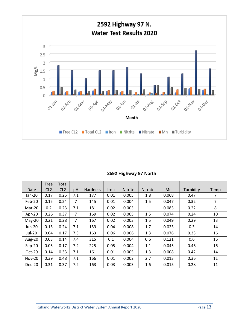

## **2592 Highway 97 North**

|               | Free            | Total           |     |                 |      |                |                |       |           |      |
|---------------|-----------------|-----------------|-----|-----------------|------|----------------|----------------|-------|-----------|------|
| Date          | CL <sub>2</sub> | CL <sub>2</sub> | pH  | <b>Hardness</b> | Iron | <b>Nitrite</b> | <b>Nitrate</b> | Mn    | Turbidity | Temp |
| Jan-20        | 0.17            | 0.25            | 7.1 | 177             | 0.01 | 0.005          | 1.8            | 0.068 | 0.47      | 7    |
| Feb-20        | 0.15            | 0.24            | 7   | 145             | 0.01 | 0.004          | 1.5            | 0.047 | 0.32      | 7    |
| Mar-20        | 0.2             | 0.23            | 7.1 | 181             | 0.02 | 0.003          | $\mathbf{1}$   | 0.083 | 0.22      | 8    |
| Apr-20        | 0.26            | 0.37            | 7   | 169             | 0.02 | 0.005          | 1.5            | 0.074 | 0.24      | 10   |
| $May-20$      | 0.21            | 0.28            | 7   | 167             | 0.02 | 0.003          | 1.5            | 0.049 | 0.29      | 13   |
| Jun-20        | 0.15            | 0.24            | 7.1 | 159             | 0.04 | 0.008          | 1.7            | 0.023 | 0.3       | 14   |
| Jul-20        | 0.04            | 0.17            | 7.3 | 163             | 0.06 | 0.006          | 1.3            | 0.076 | 0.33      | 16   |
| Aug-20        | 0.03            | 0.14            | 7.4 | 315             | 0.1  | 0.004          | 0.6            | 0.121 | 0.6       | 16   |
| $Sep-20$      | 0.05            | 0.17            | 7.2 | 225             | 0.05 | 0.004          | 1.1            | 0.045 | 0.46      | 16   |
| Oct-20        | 0.14            | 0.33            | 7.1 | 161             | 0.01 | 0.005          | 1.3            | 0.008 | 0.42      | 14   |
| <b>Nov-20</b> | 0.39            | 0.48            | 7.1 | 166             | 0.01 | 0.002          | 2.7            | 0.013 | 0.36      | 11   |
| Dec-20        | 0.31            | 0.37            | 7.2 | 163             | 0.03 | 0.003          | 1.6            | 0.015 | 0.28      | 11   |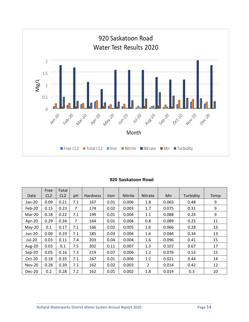

#### **920 Saskatoon Road**

|               | Free            | Total           |     |                 |             |                |                |       |           |      |
|---------------|-----------------|-----------------|-----|-----------------|-------------|----------------|----------------|-------|-----------|------|
| Date          | CL <sub>2</sub> | CL <sub>2</sub> | pH  | <b>Hardness</b> | <b>Iron</b> | <b>Nitrite</b> | <b>Nitrate</b> | Mn.   | Turbidity | Temp |
| Jan-20        | 0.09            | 0.21            | 7.1 | 167             | 0.01        | 0.006          | 1.8            | 0.065 | 0.48      | 9    |
| Feb-20        | 0.15            | 0.23            | 7   | 174             | 0.02        | 0.003          | 1.7            | 0.075 | 0.31      | 9    |
| Mar-20        | 0.18            | 0.22            | 7.1 | 199             | 0.01        | 0.004          | 1.1            | 0.088 | 0.24      | 9    |
| Apr-20        | 0.29            | 0.34            | 7   | 164             | 0.01        | 0.004          | 0.8            | 0.089 | 0.25      | 11   |
| $May-20$      | 0.1             | 0.17            | 7.1 | 166             | 0.02        | 0.005          | 1.6            | 0.066 | 0.28      | 13   |
| <b>Jun-20</b> | 0.09            | 0.19            | 7.1 | 185             | 0.03        | 0.004          | 1.6            | 0.044 | 0.34      | 13   |
| Jul-20        | 0.03            | 0.11            | 7.4 | 203             | 0.04        | 0.004          | 1.6            | 0.096 | 0.41      | 15   |
| Aug-20        | 0.03            | 0.1             | 7.5 | 302             | 0.11        | 0.007          | 1.3            | 0.107 | 0.67      | 17   |
| $Sep-20$      | 0.05            | 0.16            | 7.3 | 219             | 0.07        | 0.006          | 1.2            | 0.076 | 0.53      | 15   |
| Oct-20        | 0.18            | 0.35            | 7.1 | 167             | 0.01        | 0.006          | 1.2            | 0.021 | 0.44      | 14   |
| <b>Nov-20</b> | 0.28            | 0.39            | 7.1 | 162             | 0.02        | 0.003          | $\overline{2}$ | 0.014 | 0.42      | 12   |
| Dec-20        | 0.2             | 0.28            | 7.2 | 162             | 0.01        | 0.002          | 1.8            | 0.014 | 0.3       | 10   |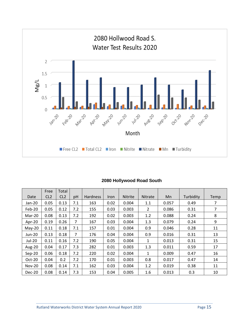

## **2080 Hollywood Road South**

|               | Free            | Total           |                |                 |      |                |                |       |           |      |
|---------------|-----------------|-----------------|----------------|-----------------|------|----------------|----------------|-------|-----------|------|
| Date          | CL <sub>2</sub> | CL <sub>2</sub> | pH             | <b>Hardness</b> | Iron | <b>Nitrite</b> | <b>Nitrate</b> | Mn.   | Turbidity | Temp |
| Jan-20        | 0.05            | 0.13            | 7.1            | 163             | 0.02 | 0.004          | 1.1            | 0.057 | 0.49      | 7    |
| Feb-20        | 0.05            | 0.12            | 7.2            | 155             | 0.03 | 0.003          | $\overline{2}$ | 0.086 | 0.31      | 7    |
| Mar-20        | 0.08            | 0.13            | 7.2            | 192             | 0.02 | 0.003          | 1.2            | 0.088 | 0.24      | 8    |
| Apr-20        | 0.19            | 0.26            | 7              | 167             | 0.03 | 0.004          | 1.3            | 0.079 | 0.24      | 9    |
| $May-20$      | 0.11            | 0.18            | 7.1            | 157             | 0.01 | 0.004          | 0.9            | 0.046 | 0.28      | 11   |
| Jun-20        | 0.13            | 0.18            | $\overline{7}$ | 176             | 0.04 | 0.004          | 0.9            | 0.016 | 0.31      | 13   |
| Jul-20        | 0.11            | 0.16            | 7.2            | 190             | 0.05 | 0.004          | $\mathbf{1}$   | 0.013 | 0.31      | 15   |
| Aug-20        | 0.04            | 0.17            | 7.3            | 282             | 0.01 | 0.003          | 1.3            | 0.011 | 0.59      | 17   |
| $Sep-20$      | 0.06            | 0.18            | 7.2            | 220             | 0.02 | 0.004          | $\mathbf{1}$   | 0.009 | 0.47      | 16   |
| Oct-20        | 0.04            | 0.2             | 7.2            | 170             | 0.01 | 0.003          | 0.8            | 0.017 | 0.47      | 14   |
| <b>Nov-20</b> | 0.08            | 0.14            | 7.1            | 162             | 0.03 | 0.004          | 1.2            | 0.019 | 0.38      | 11   |
| Dec-20        | 0.08            | 0.14            | 7.3            | 153             | 0.04 | 0.005          | 1.6            | 0.013 | 0.3       | 10   |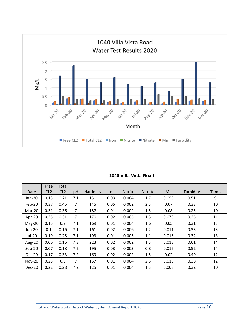

|               | Free            | Total           |     |                 |             |                |         |       |           |      |
|---------------|-----------------|-----------------|-----|-----------------|-------------|----------------|---------|-------|-----------|------|
| Date          | CL <sub>2</sub> | CL <sub>2</sub> | pH  | <b>Hardness</b> | <b>Iron</b> | <b>Nitrite</b> | Nitrate | Mn    | Turbidity | Temp |
| Jan-20        | 0.13            | 0.21            | 7.1 | 131             | 0.03        | 0.004          | 1.7     | 0.059 | 0.51      | 9    |
| Feb-20        | 0.37            | 0.45            | 7   | 145             | 0.05        | 0.002          | 2.3     | 0.07  | 0.33      | 10   |
| Mar-20        | 0.31            | 0.36            | 7   | 187             | 0.01        | 0.004          | 1.5     | 0.08  | 0.25      | 10   |
| Apr-20        | 0.25            | 0.31            | 7   | 170             | 0.02        | 0.005          | 1.3     | 0.079 | 0.25      | 11   |
| May-20        | 0.15            | 0.2             | 7.1 | 169             | 0.01        | 0.004          | 1.6     | 0.05  | 0.31      | 13   |
| <b>Jun-20</b> | 0.1             | 0.16            | 7.1 | 161             | 0.02        | 0.006          | 1.2     | 0.011 | 0.33      | 13   |
| <b>Jul-20</b> | 0.19            | 0.25            | 7.1 | 193             | 0.01        | 0.005          | 1.1     | 0.015 | 0.32      | 13   |
| Aug-20        | 0.06            | 0.16            | 7.3 | 223             | 0.02        | 0.002          | 1.3     | 0.018 | 0.61      | 14   |
| $Sep-20$      | 0.07            | 0.18            | 7.2 | 195             | 0.03        | 0.003          | 0.8     | 0.015 | 0.52      | 14   |
| Oct-20        | 0.17            | 0.33            | 7.2 | 169             | 0.02        | 0.002          | 1.5     | 0.02  | 0.49      | 12   |
| <b>Nov-20</b> | 0.23            | 0.3             | 7   | 157             | 0.01        | 0.004          | 2.5     | 0.019 | 0.38      | 12   |
| Dec-20        | 0.22            | 0.28            | 7.2 | 125             | 0.01        | 0.004          | 1.3     | 0.008 | 0.32      | 10   |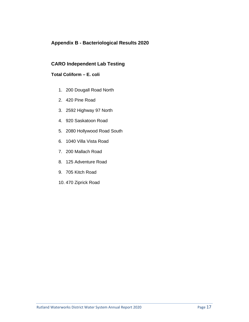# **Appendix B - Bacteriological Results 2020**

## **CARO Independent Lab Testing**

## **Total Coliform – E. coli**

- 1. 200 Dougall Road North
- 2. 420 Pine Road
- 3. 2592 Highway 97 North
- 4. 920 Saskatoon Road
- 5. 2080 Hollywood Road South
- 6. 1040 Villa Vista Road
- 7. 200 Mallach Road
- 8. 125 Adventure Road
- 9. 705 Kitch Road
- 10. 470 Ziprick Road